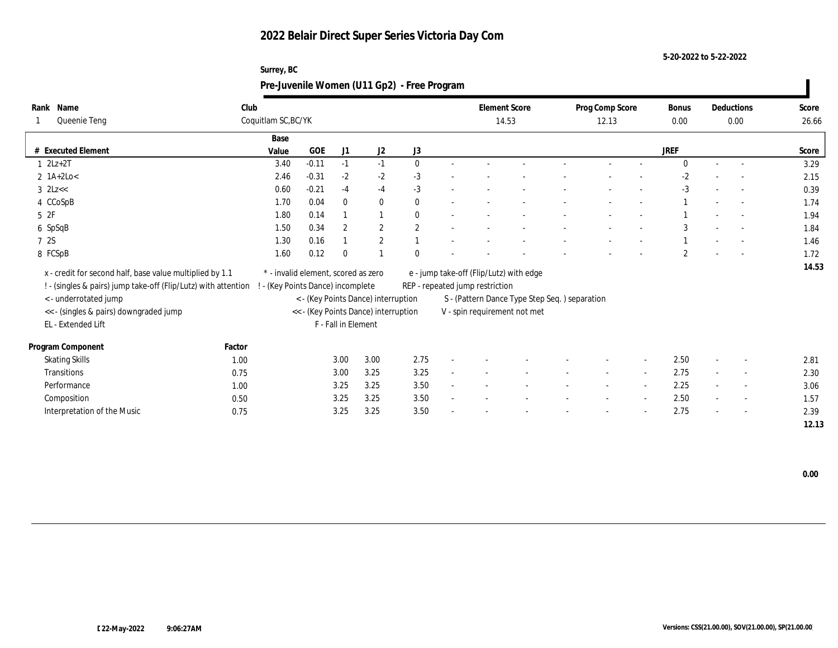**Surrey, BC**

**5-20-2022 to 5-22-2022**

| Rank Name<br>Queenie Teng                                      | Club   | Coquitlam SC, BC/YK                 |           |                     |                                      |              | <b>Element Score</b><br>14.53           |                                               | Prog Comp Score<br>12.13 |                          | <b>Bonus</b><br>0.00 |        | Deductions<br>0.00 | Score<br>26.66 |
|----------------------------------------------------------------|--------|-------------------------------------|-----------|---------------------|--------------------------------------|--------------|-----------------------------------------|-----------------------------------------------|--------------------------|--------------------------|----------------------|--------|--------------------|----------------|
|                                                                |        | Base                                |           |                     |                                      |              |                                         |                                               |                          |                          |                      |        |                    |                |
| # Executed Element                                             |        | Value                               | $\rm GOE$ | J1                  | J <sub>2</sub>                       | J3           |                                         |                                               |                          |                          | <b>JREF</b>          |        |                    | Score          |
| $1 \quad 2Lz+2T$                                               |        | 3.40                                | $-0.11$   | $-1$                | $-1$                                 | $\mathbf{0}$ |                                         |                                               |                          |                          | $\Omega$             |        |                    | 3.29           |
| $2$ 1A+2Lo<                                                    |        | 2.46                                | $-0.31$   | $-2$                | $-2$                                 | $-3$         |                                         |                                               |                          |                          | $-2$                 |        |                    | 2.15           |
| $3$ $2Lz <$                                                    |        | 0.60                                | $-0.21$   | $-4$                | $-4$                                 | $-3$         |                                         |                                               |                          |                          | $-3$                 |        | $\sim$             | 0.39           |
| 4 CCoSpB                                                       |        | 1.70                                | 0.04      | $\Omega$            | $\mathbf{0}$                         | $\mathbf{0}$ |                                         |                                               |                          |                          |                      |        | $\sim$             | 1.74           |
| $5\;\;2F$                                                      |        | 1.80                                | 0.14      |                     |                                      | 0            |                                         |                                               |                          |                          |                      |        |                    | 1.94           |
| 6 SpSqB                                                        |        | 1.50                                | 0.34      | $\overline{2}$      | $\mathbf{2}$                         | $\mathbf{2}$ |                                         |                                               |                          |                          | 3                    |        |                    | 1.84           |
| 7 2S                                                           |        | 1.30                                | 0.16      |                     | $\overline{2}$                       |              |                                         |                                               |                          |                          |                      |        |                    | 1.46           |
| 8 FCSpB                                                        |        | 1.60                                | 0.12      | $\Omega$            |                                      |              |                                         |                                               |                          |                          | $\overline{2}$       |        | $\sim$             | 1.72           |
| x - credit for second half, base value multiplied by 1.1       |        | * - invalid element, scored as zero |           |                     |                                      |              | e - jump take-off (Flip/Lutz) with edge |                                               |                          |                          |                      |        |                    | 14.53          |
| ! - (singles & pairs) jump take-off (Flip/Lutz) with attention |        | - (Key Points Dance) incomplete     |           |                     |                                      |              | REP - repeated jump restriction         |                                               |                          |                          |                      |        |                    |                |
| < - underrotated jump                                          |        |                                     |           |                     | < - (Key Points Dance) interruption  |              |                                         | S - (Pattern Dance Type Step Seq.) separation |                          |                          |                      |        |                    |                |
| << - (singles & pairs) downgraded jump                         |        |                                     |           |                     | << - (Key Points Dance) interruption |              | V - spin requirement not met            |                                               |                          |                          |                      |        |                    |                |
| EL - Extended Lift                                             |        |                                     |           | F - Fall in Element |                                      |              |                                         |                                               |                          |                          |                      |        |                    |                |
|                                                                |        |                                     |           |                     |                                      |              |                                         |                                               |                          |                          |                      |        |                    |                |
| Program Component                                              | Factor |                                     |           |                     |                                      |              |                                         |                                               |                          |                          |                      |        |                    |                |
| <b>Skating Skills</b>                                          | 1.00   |                                     |           | 3.00                | 3.00                                 | 2.75         |                                         |                                               |                          |                          | 2.50                 |        |                    | 2.81           |
| Transitions                                                    | 0.75   |                                     |           | 3.00                | 3.25                                 | 3.25         |                                         |                                               |                          | $\sim$                   | 2.75                 | $\sim$ |                    | 2.30           |
| Performance                                                    | 1.00   |                                     |           | 3.25                | 3.25                                 | 3.50         |                                         |                                               |                          | $\overline{\phantom{a}}$ | 2.25                 |        |                    | 3.06           |
| Composition                                                    | 0.50   |                                     |           | 3.25                | 3.25                                 | 3.50         |                                         |                                               |                          | $\sim$                   | 2.50                 |        | $\sim$             | 1.57           |
| Interpretation of the Music                                    | 0.75   |                                     |           | 3.25                | 3.25                                 | 3.50         |                                         |                                               |                          |                          | 2.75                 |        |                    | 2.39           |
|                                                                |        |                                     |           |                     |                                      |              |                                         |                                               |                          |                          |                      |        |                    | 12.13          |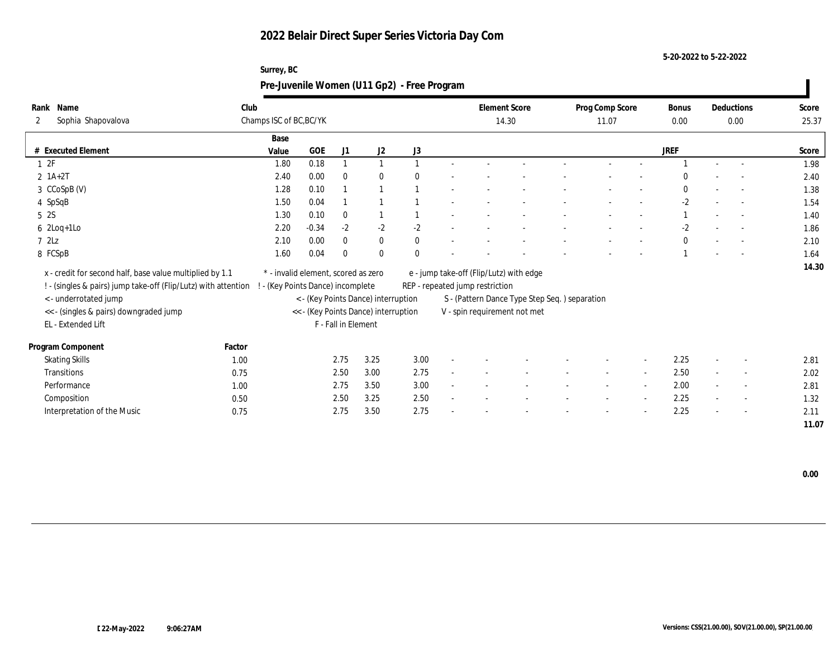**Surrey, BC**

**5-20-2022 to 5-22-2022**

|                                                                |        | Pre-Juvenile Women (U11 Gp2) - Free Program |         |                     |                                      |              |                                         |                                               |                 |                          |              |                          |       |
|----------------------------------------------------------------|--------|---------------------------------------------|---------|---------------------|--------------------------------------|--------------|-----------------------------------------|-----------------------------------------------|-----------------|--------------------------|--------------|--------------------------|-------|
| Rank Name                                                      | Club   |                                             |         |                     |                                      |              | <b>Element Score</b>                    |                                               | Prog Comp Score |                          | <b>Bonus</b> | Deductions               | Score |
| Sophia Shapovalova<br>2                                        |        | Champs ISC of BC, BC/YK                     |         |                     |                                      |              | 14.30                                   |                                               | 11.07           |                          | 0.00         | 0.00                     | 25.37 |
|                                                                |        | Base                                        |         |                     |                                      |              |                                         |                                               |                 |                          |              |                          |       |
| # Executed Element                                             |        | Value                                       | GOE     | J1                  | J2                                   | J3           |                                         |                                               |                 |                          | <b>JREF</b>  |                          | Score |
| 12F                                                            |        | 1.80                                        | 0.18    |                     |                                      |              |                                         |                                               |                 |                          |              |                          | 1.98  |
| $2 \; 1A+2T$                                                   |        | 2.40                                        | 0.00    | $\Omega$            | $\mathbf{0}$                         |              |                                         |                                               |                 |                          |              |                          | 2.40  |
| 3 CCoSpB (V)                                                   |        | 1.28                                        | 0.10    |                     |                                      |              |                                         |                                               |                 |                          | $\theta$     |                          | 1.38  |
| 4 SpSqB                                                        |        | 1.50                                        | 0.04    |                     |                                      |              |                                         |                                               |                 |                          | $-2$         |                          | 1.54  |
| 5 <sub>2S</sub>                                                |        | 1.30                                        | 0.10    | $\theta$            |                                      |              |                                         |                                               |                 |                          |              |                          | 1.40  |
| $6$ 2Loq+1Lo                                                   |        | 2.20                                        | $-0.34$ | $-2$                | $-2$                                 | $-2$         |                                         |                                               |                 |                          | $-2$         |                          | 1.86  |
| 72Lz                                                           |        | 2.10                                        | 0.00    | $\theta$            | $\bf{0}$                             | $\mathbf{0}$ |                                         |                                               |                 |                          | $\theta$     | $\sim$                   | 2.10  |
| 8 FCSpB                                                        |        | 1.60                                        | 0.04    | $\Omega$            | $\bf{0}$                             |              |                                         |                                               |                 |                          |              |                          | 1.64  |
| x - credit for second half, base value multiplied by 1.1       |        | * - invalid element, scored as zero         |         |                     |                                      |              | e - jump take-off (Flip/Lutz) with edge |                                               |                 |                          |              |                          | 14.30 |
| ! - (singles & pairs) jump take-off (Flip/Lutz) with attention |        | - (Key Points Dance) incomplete             |         |                     |                                      |              |                                         |                                               |                 |                          |              |                          |       |
| <- underrotated jump                                           |        |                                             |         |                     | < - (Key Points Dance) interruption  |              | REP - repeated jump restriction         | S - (Pattern Dance Type Step Seq.) separation |                 |                          |              |                          |       |
| << - (singles & pairs) downgraded jump                         |        |                                             |         |                     | << - (Key Points Dance) interruption |              |                                         |                                               |                 |                          |              |                          |       |
| EL - Extended Lift                                             |        |                                             |         | F - Fall in Element |                                      |              | V - spin requirement not met            |                                               |                 |                          |              |                          |       |
|                                                                |        |                                             |         |                     |                                      |              |                                         |                                               |                 |                          |              |                          |       |
| Program Component                                              | Factor |                                             |         |                     |                                      |              |                                         |                                               |                 |                          |              |                          |       |
| <b>Skating Skills</b>                                          | 1.00   |                                             |         | 2.75                | 3.25                                 | 3.00         |                                         |                                               |                 | $\overline{\phantom{a}}$ | 2.25         |                          | 2.81  |
| Transitions                                                    | 0.75   |                                             |         | 2.50                | 3.00                                 | 2.75         |                                         |                                               |                 | $\sim$                   | 2.50         |                          | 2.02  |
| Performance                                                    | 1.00   |                                             |         | 2.75                | 3.50                                 | 3.00         |                                         |                                               |                 | $\sim$                   | 2.00         | $\sim$                   | 2.81  |
| Composition                                                    | 0.50   |                                             |         | 2.50                | 3.25                                 | 2.50         |                                         |                                               |                 | $\sim$                   | 2.25         | $\overline{\phantom{a}}$ | 1.32  |
| Interpretation of the Music                                    | 0.75   |                                             |         | 2.75                | 3.50                                 | 2.75         |                                         |                                               |                 |                          | 2.25         |                          | 2.11  |
|                                                                |        |                                             |         |                     |                                      |              |                                         |                                               |                 |                          |              |                          | 11.07 |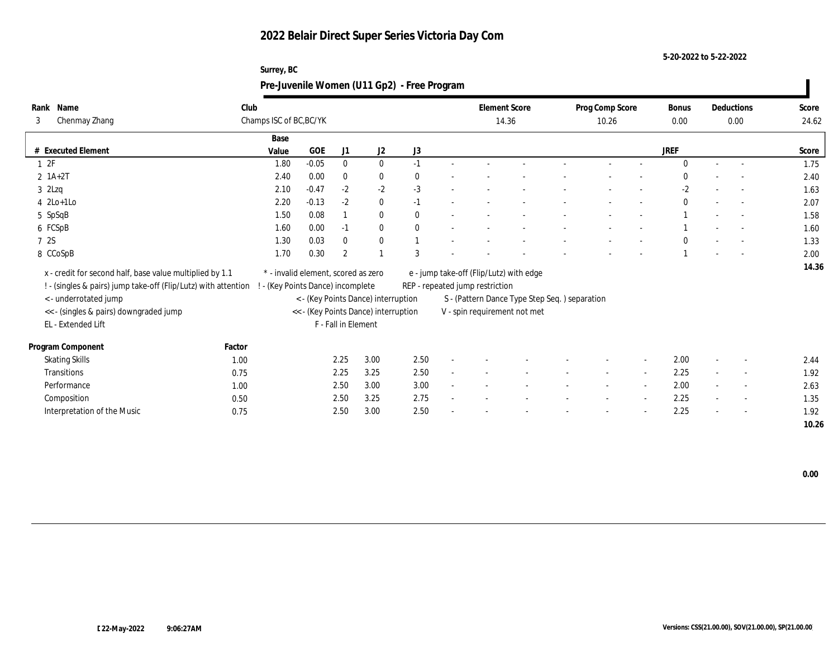**Surrey, BC**

**5-20-2022 to 5-22-2022**

|                                                                |        | Pre-Juvenile Women (U11 Gp2) - Free Program |         |                     |                                      |              |                                               |  |                          |                          |                      |        |                    |                |
|----------------------------------------------------------------|--------|---------------------------------------------|---------|---------------------|--------------------------------------|--------------|-----------------------------------------------|--|--------------------------|--------------------------|----------------------|--------|--------------------|----------------|
| Rank Name<br>Chenmay Zhang<br>3                                | Club   | Champs ISC of BC, BC/YK                     |         |                     |                                      |              | <b>Element Score</b><br>14.36                 |  | Prog Comp Score<br>10.26 |                          | <b>Bonus</b><br>0.00 |        | Deductions<br>0.00 | Score<br>24.62 |
|                                                                |        | Base                                        |         |                     |                                      |              |                                               |  |                          |                          |                      |        |                    |                |
| # Executed Element                                             |        | Value                                       | GOE     | J1                  | J2                                   | J3           |                                               |  |                          |                          | <b>JREF</b>          |        |                    | Score          |
| 12F                                                            |        | 1.80                                        | $-0.05$ | $\mathbf{0}$        | $\mathbf{0}$                         | $-1$         |                                               |  |                          |                          | $\Omega$             | $\sim$ |                    | 1.75           |
| $2 \; 1A+2T$                                                   |        | 2.40                                        | 0.00    | $\Omega$            | $\bf{0}$                             | 0            |                                               |  |                          |                          |                      |        |                    | 2.40           |
| $3$ 2Lzq                                                       |        | 2.10                                        | $-0.47$ | $-2$                | $-2$                                 | $-3$         |                                               |  |                          |                          | $-2$                 |        |                    | 1.63           |
| $4$ 2Lo+1Lo                                                    |        | $2.20\,$                                    | $-0.13$ | $-2$                | $\bf{0}$                             | $-1$         |                                               |  |                          |                          | $\theta$             |        | $\sim$             | 2.07           |
| 5 SpSqB                                                        |        | 1.50                                        | 0.08    |                     | $\bf{0}$                             | $\mathbf{0}$ |                                               |  |                          |                          |                      |        |                    | 1.58           |
| 6 FCSpB                                                        |        | 1.60                                        | 0.00    | $-1$                | $\mathbf{0}$                         | $\mathbf{0}$ |                                               |  |                          |                          |                      |        | $\sim$             | 1.60           |
| 7 2S                                                           |        | 1.30                                        | 0.03    | $\theta$            | $\bf{0}$                             |              |                                               |  |                          |                          | $\Omega$             |        |                    | 1.33           |
| 8 CCoSpB                                                       |        | 1.70                                        | 0.30    | $\overline{2}$      |                                      | 3            |                                               |  |                          |                          |                      |        |                    | 2.00           |
| x - credit for second half, base value multiplied by 1.1       |        | * - invalid element, scored as zero         |         |                     |                                      |              | e - jump take-off (Flip/Lutz) with edge       |  |                          |                          |                      |        |                    | 14.36          |
| ! - (singles & pairs) jump take-off (Flip/Lutz) with attention |        | - (Key Points Dance) incomplete             |         |                     |                                      |              | REP - repeated jump restriction               |  |                          |                          |                      |        |                    |                |
| <- underrotated jump                                           |        |                                             |         |                     | < - (Key Points Dance) interruption  |              | S - (Pattern Dance Type Step Seq.) separation |  |                          |                          |                      |        |                    |                |
| << - (singles & pairs) downgraded jump                         |        |                                             |         |                     | << - (Key Points Dance) interruption |              | V - spin requirement not met                  |  |                          |                          |                      |        |                    |                |
| EL - Extended Lift                                             |        |                                             |         | F - Fall in Element |                                      |              |                                               |  |                          |                          |                      |        |                    |                |
|                                                                |        |                                             |         |                     |                                      |              |                                               |  |                          |                          |                      |        |                    |                |
| Program Component                                              | Factor |                                             |         |                     |                                      |              |                                               |  |                          |                          |                      |        |                    |                |
| <b>Skating Skills</b>                                          | 1.00   |                                             |         | 2.25                | 3.00                                 | 2.50         |                                               |  |                          | $\overline{\phantom{a}}$ | 2.00                 |        |                    | 2.44           |
| Transitions                                                    | 0.75   |                                             |         | 2.25                | 3.25                                 | 2.50         |                                               |  |                          | $\overline{\phantom{a}}$ | 2.25                 |        |                    | 1.92           |
| Performance                                                    | 1.00   |                                             |         | 2.50                | 3.00                                 | 3.00         |                                               |  |                          | $\sim$                   | 2.00                 |        |                    | 2.63           |
| Composition                                                    | 0.50   |                                             |         | 2.50                | 3.25                                 | 2.75         |                                               |  |                          | $\sim$                   | 2.25                 |        | $\sim$             | 1.35           |
| Interpretation of the Music                                    | 0.75   |                                             |         | 2.50                | 3.00                                 | 2.50         |                                               |  |                          |                          | 2.25                 |        |                    | 1.92           |
|                                                                |        |                                             |         |                     |                                      |              |                                               |  |                          |                          |                      |        |                    | 10.26          |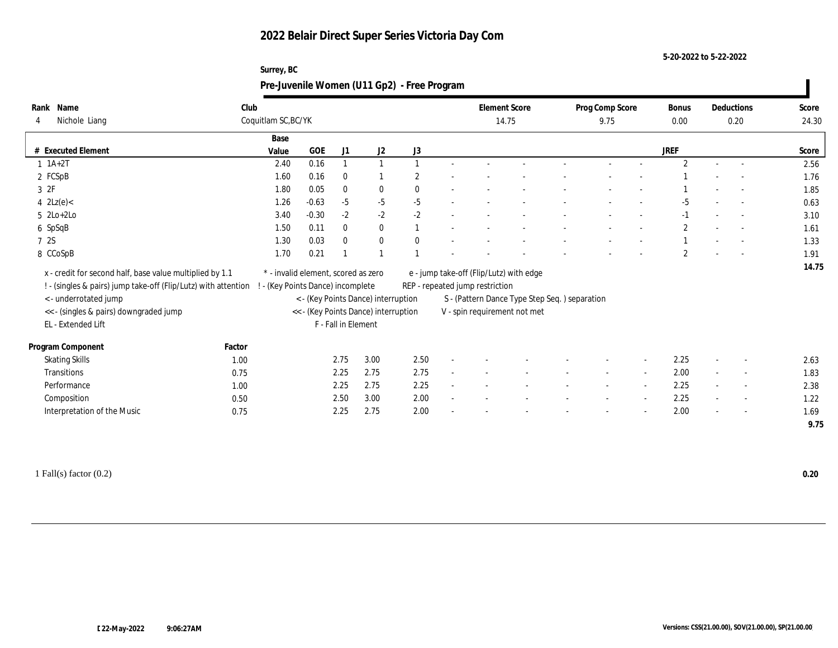**Surrey, BC**

**5-20-2022 to 5-22-2022**

|                                                                                                                            |        |                                                                        |         |                     |                                      | Pre-Juvenile Women (U11 Gp2) - Free Program |                                 |                                               |                         |        |               |                          |                |
|----------------------------------------------------------------------------------------------------------------------------|--------|------------------------------------------------------------------------|---------|---------------------|--------------------------------------|---------------------------------------------|---------------------------------|-----------------------------------------------|-------------------------|--------|---------------|--------------------------|----------------|
| Rank Name<br>Nichole Liang<br>4                                                                                            | Club   | Coquitlam SC, BC/YK                                                    |         |                     |                                      |                                             | 14.75                           | <b>Element Score</b>                          | Prog Comp Score<br>9.75 |        | Bonus<br>0.00 | Deductions<br>0.20       | Score<br>24.30 |
| # Executed Element                                                                                                         |        | Base<br>Value                                                          | GOE     | J1                  | J2                                   | J3                                          |                                 |                                               |                         |        | <b>JREF</b>   |                          | Score          |
| $1 \ 1A+2T$                                                                                                                |        | 2.40                                                                   | 0.16    |                     |                                      |                                             |                                 |                                               |                         |        | 2             | $\sim$                   | 2.56           |
| 2 FCSpB                                                                                                                    |        | 1.60                                                                   | 0.16    | $\mathbf{0}$        |                                      |                                             |                                 |                                               |                         |        |               |                          | 1.76           |
| 3 2F                                                                                                                       |        | 1.80                                                                   | 0.05    | $\mathbf{0}$        | $\mathbf{0}$                         |                                             |                                 |                                               |                         |        |               |                          | 1.85           |
| 4 $2Lz(e)$                                                                                                                 |        | 1.26                                                                   | $-0.63$ | $-5$                | $-5$                                 | $-5$                                        |                                 |                                               |                         |        | $-5$          |                          | 0.63           |
| $5$ $2Lo+2Lo$                                                                                                              |        | 3.40                                                                   | $-0.30$ | $-2$                | $-2$                                 | $-2$                                        |                                 |                                               |                         |        | $-1$          | $\overline{\phantom{a}}$ | 3.10           |
| 6 SpSqB                                                                                                                    |        | 1.50                                                                   | 0.11    | $\mathbf{0}$        | $\mathbf{0}$                         |                                             |                                 |                                               |                         |        | $\mathbf{2}$  | $\sim$                   | 1.61           |
| 7 2S                                                                                                                       |        | 1.30                                                                   | 0.03    | $\theta$            | $\bf{0}$                             |                                             |                                 |                                               |                         |        |               | $\overline{\phantom{a}}$ | 1.33           |
| 8 CCoSpB                                                                                                                   |        | 1.70                                                                   | 0.21    |                     |                                      |                                             |                                 |                                               |                         |        | $\mathbf{2}$  |                          | 1.91           |
| x - credit for second half, base value multiplied by 1.1<br>! - (singles & pairs) jump take-off (Flip/Lutz) with attention |        | * - invalid element, scored as zero<br>- (Key Points Dance) incomplete |         |                     |                                      |                                             | REP - repeated jump restriction | e - jump take-off (Flip/Lutz) with edge       |                         |        |               |                          | 14.75          |
| < - underrotated jump                                                                                                      |        |                                                                        |         |                     | < - (Key Points Dance) interruption  |                                             |                                 | S - (Pattern Dance Type Step Seq.) separation |                         |        |               |                          |                |
| << - (singles & pairs) downgraded jump                                                                                     |        |                                                                        |         |                     | << - (Key Points Dance) interruption |                                             | V - spin requirement not met    |                                               |                         |        |               |                          |                |
| EL - Extended Lift                                                                                                         |        |                                                                        |         | F - Fall in Element |                                      |                                             |                                 |                                               |                         |        |               |                          |                |
| Program Component                                                                                                          | Factor |                                                                        |         |                     |                                      |                                             |                                 |                                               |                         |        |               |                          |                |
| <b>Skating Skills</b>                                                                                                      | 1.00   |                                                                        |         | 2.75                | 3.00                                 | 2.50                                        |                                 |                                               |                         |        | 2.25          |                          | 2.63           |
| Transitions                                                                                                                | 0.75   |                                                                        |         | 2.25                | 2.75                                 | 2.75                                        |                                 |                                               |                         | $\sim$ | 2.00          | $\overline{\phantom{a}}$ | 1.83           |
| Performance                                                                                                                | 1.00   |                                                                        |         | 2.25                | 2.75                                 | 2.25                                        |                                 |                                               |                         | $\sim$ | 2.25          |                          | 2.38           |
| Composition                                                                                                                | 0.50   |                                                                        |         | 2.50                | 3.00                                 | 2.00                                        |                                 |                                               |                         | $\sim$ | 2.25          | $\sim$                   | 1.22           |
| Interpretation of the Music                                                                                                | 0.75   |                                                                        |         | 2.25                | 2.75                                 | 2.00                                        |                                 |                                               |                         |        | 2.00          | $\overline{\phantom{a}}$ | 1.69           |
|                                                                                                                            |        |                                                                        |         |                     |                                      |                                             |                                 |                                               |                         |        |               |                          | 9.75           |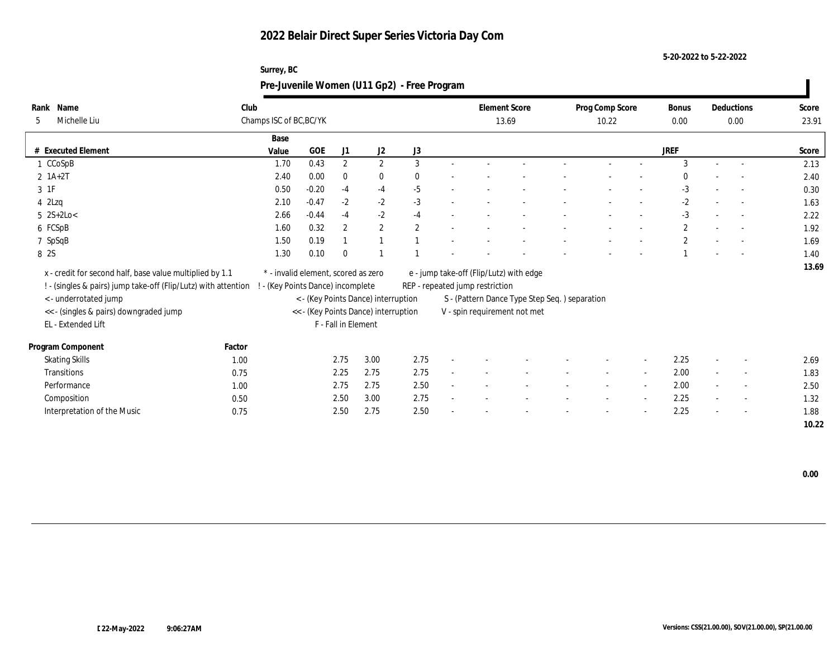**Surrey, BC**

**5-20-2022 to 5-22-2022**

|                                                                                                                                                                                              |                                                                        |         |                       |                                                                             | Pre-Juvenile Women (U11 Gp2) - Free Program |                                                                                                            |                                               |                          |                          |                      |                          |                |
|----------------------------------------------------------------------------------------------------------------------------------------------------------------------------------------------|------------------------------------------------------------------------|---------|-----------------------|-----------------------------------------------------------------------------|---------------------------------------------|------------------------------------------------------------------------------------------------------------|-----------------------------------------------|--------------------------|--------------------------|----------------------|--------------------------|----------------|
| Rank Name<br>Michelle Liu<br>5                                                                                                                                                               | Club<br>Champs ISC of BC, BC/YK                                        |         |                       |                                                                             |                                             | <b>Element Score</b><br>13.69                                                                              |                                               | Prog Comp Score<br>10.22 |                          | <b>Bonus</b><br>0.00 | Deductions<br>0.00       | Score<br>23.91 |
| # Executed Element                                                                                                                                                                           | Base                                                                   | GOE     |                       |                                                                             |                                             |                                                                                                            |                                               |                          |                          | <b>JREF</b>          |                          |                |
| CCoSpB                                                                                                                                                                                       | Value<br>1.70                                                          | 0.43    | J1<br>$\mathbf{2}$    | J2<br>2                                                                     | J3<br>3                                     |                                                                                                            |                                               |                          |                          | 3                    | $\sim$                   | Score<br>2.13  |
| $2 1A+2T$                                                                                                                                                                                    | 2.40                                                                   | 0.00    | $\mathbf{0}$          | $\bf{0}$                                                                    |                                             |                                                                                                            |                                               |                          |                          |                      |                          | 2.40           |
| 3 1F                                                                                                                                                                                         | 0.50                                                                   | $-0.20$ | $-4$                  | $-4$                                                                        | $-5$                                        |                                                                                                            |                                               |                          |                          | $-3$                 |                          | 0.30           |
| $4$ 2Lzq                                                                                                                                                                                     | 2.10                                                                   | $-0.47$ | $-2$                  | $-2$                                                                        | $-3$                                        |                                                                                                            |                                               |                          |                          | $-2$                 | $\overline{\phantom{a}}$ | 1.63           |
| $5$ 2S+2Lo<                                                                                                                                                                                  | 2.66                                                                   | $-0.44$ | $-4$                  | $-2$                                                                        | $-4$                                        |                                                                                                            |                                               |                          |                          | $-3$                 | $\overline{\phantom{a}}$ | 2.22           |
| 6 FCSpB                                                                                                                                                                                      | 1.60                                                                   | 0.32    | $\mathbf{2}^{\prime}$ | $\mathbf{2}$                                                                | $\overline{2}$                              |                                                                                                            |                                               |                          |                          | $\mathbf{2}$         | $\sim$                   | 1.92           |
| 7 SpSqB                                                                                                                                                                                      | 1.50                                                                   | 0.19    |                       |                                                                             |                                             |                                                                                                            |                                               |                          |                          | $\overline{2}$       |                          | 1.69           |
| 8 2S                                                                                                                                                                                         | 1.30                                                                   | 0.10    | $\theta$              |                                                                             |                                             |                                                                                                            |                                               |                          |                          |                      |                          | 1.40           |
| x - credit for second half, base value multiplied by 1.1<br>! - (singles & pairs) jump take-off (Flip/Lutz) with attention<br><- underrotated jump<br><< - (singles & pairs) downgraded jump | * - invalid element, scored as zero<br>- (Key Points Dance) incomplete |         |                       | < - (Key Points Dance) interruption<br><< - (Key Points Dance) interruption |                                             | e - jump take-off (Flip/Lutz) with edge<br>REP - repeated jump restriction<br>V - spin requirement not met | S - (Pattern Dance Type Step Seq.) separation |                          |                          |                      |                          | 13.69          |
| EL - Extended Lift                                                                                                                                                                           |                                                                        |         | F - Fall in Element   |                                                                             |                                             |                                                                                                            |                                               |                          |                          |                      |                          |                |
| Program Component<br>Factor                                                                                                                                                                  |                                                                        |         |                       |                                                                             |                                             |                                                                                                            |                                               |                          |                          |                      |                          |                |
| <b>Skating Skills</b><br>1.00                                                                                                                                                                |                                                                        |         | 2.75                  | 3.00                                                                        | 2.75                                        |                                                                                                            |                                               |                          |                          | 2.25                 |                          | 2.69           |
| Transitions<br>0.75                                                                                                                                                                          |                                                                        |         | 2.25                  | 2.75                                                                        | 2.75                                        |                                                                                                            |                                               |                          | $\sim$                   | 2.00                 |                          | 1.83           |
| Performance<br>1.00                                                                                                                                                                          |                                                                        |         | 2.75                  | 2.75                                                                        | 2.50                                        |                                                                                                            |                                               |                          |                          | 2.00                 |                          | 2.50           |
| Composition<br>0.50                                                                                                                                                                          |                                                                        |         | 2.50                  | 3.00                                                                        | 2.75                                        |                                                                                                            |                                               |                          | $\overline{\phantom{a}}$ | 2.25                 | $\overline{\phantom{a}}$ | 1.32           |
| Interpretation of the Music<br>0.75                                                                                                                                                          |                                                                        |         | 2.50                  | 2.75                                                                        | 2.50                                        |                                                                                                            |                                               |                          |                          | 2.25                 |                          | 1.88           |
|                                                                                                                                                                                              |                                                                        |         |                       |                                                                             |                                             |                                                                                                            |                                               |                          |                          |                      |                          | 10.22          |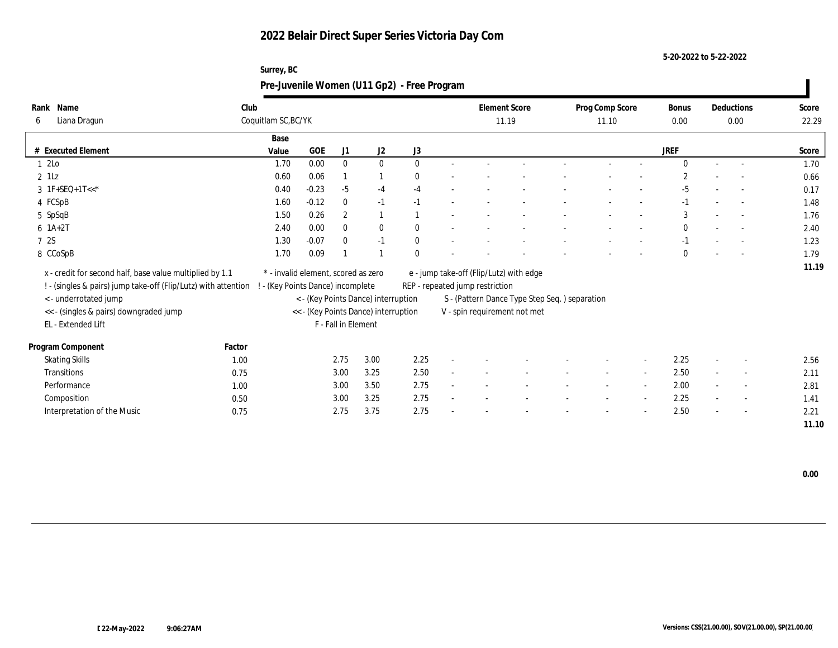**Surrey, BC**

**5-20-2022 to 5-22-2022**

| Rank Name                                                      | Club   |                                     |         |                     |                                      |              | <b>Element Score</b>                          |  | Prog Comp Score |                          | <b>Bonus</b> |        | Deductions               | Score |
|----------------------------------------------------------------|--------|-------------------------------------|---------|---------------------|--------------------------------------|--------------|-----------------------------------------------|--|-----------------|--------------------------|--------------|--------|--------------------------|-------|
| Liana Dragun<br>6                                              |        | Coquitlam SC, BC/YK                 |         |                     |                                      |              | 11.19                                         |  | 11.10           |                          | 0.00         |        | 0.00                     | 22.29 |
|                                                                |        | Base                                |         |                     |                                      |              |                                               |  |                 |                          |              |        |                          |       |
| # Executed Element                                             |        | Value                               | GOE     | J1                  | J2                                   | J3           |                                               |  |                 |                          | <b>JREF</b>  |        |                          | Score |
| 12Lo                                                           |        | 1.70                                | 0.00    | $\mathbf{0}$        | $\mathbf{0}$                         | $\Omega$     |                                               |  |                 |                          | $\Omega$     | $\sim$ | $\overline{\phantom{a}}$ | 1.70  |
| $2$ 1Lz                                                        |        | 0.60                                | 0.06    |                     |                                      |              |                                               |  |                 |                          |              |        |                          | 0.66  |
| $3 \text{ IF+SEQ+1T<<}^*$                                      |        | 0.40                                | $-0.23$ | $-5$                | $-4$                                 | $-4$         |                                               |  |                 |                          | $-5$         |        |                          | 0.17  |
| 4 FCSpB                                                        |        | 1.60                                | $-0.12$ | $\theta$            | $-1$                                 | $-1$         |                                               |  |                 |                          |              |        | $\sim$                   | 1.48  |
| 5 SpSqB                                                        |        | 1.50                                | 0.26    | $\mathbf{2}$        |                                      |              |                                               |  |                 |                          | 3            |        |                          | 1.76  |
| $6$ 1A+2T                                                      |        | 2.40                                | 0.00    | $\Omega$            | $\mathbf{0}$                         | $\theta$     |                                               |  |                 |                          | $\mathbf{0}$ |        | $\sim$                   | 2.40  |
| 7 2S                                                           |        | 1.30                                | $-0.07$ | $\mathbf{0}$        | $-1$                                 | $\mathbf{0}$ |                                               |  |                 |                          | $-1$         |        | $\sim$                   | 1.23  |
| 8 CCoSpB                                                       |        | 1.70                                | 0.09    |                     |                                      |              |                                               |  |                 |                          | $\Omega$     |        |                          | 1.79  |
| x - credit for second half, base value multiplied by 1.1       |        | * - invalid element, scored as zero |         |                     |                                      |              | e - jump take-off (Flip/Lutz) with edge       |  |                 |                          |              |        |                          | 11.19 |
| ! - (singles & pairs) jump take-off (Flip/Lutz) with attention |        |                                     |         |                     |                                      |              | REP - repeated jump restriction               |  |                 |                          |              |        |                          |       |
| <- underrotated jump                                           |        | - (Key Points Dance) incomplete     |         |                     | < - (Key Points Dance) interruption  |              | S - (Pattern Dance Type Step Seq.) separation |  |                 |                          |              |        |                          |       |
| << - (singles & pairs) downgraded jump                         |        |                                     |         |                     | << - (Key Points Dance) interruption |              | V - spin requirement not met                  |  |                 |                          |              |        |                          |       |
| EL - Extended Lift                                             |        |                                     |         | F - Fall in Element |                                      |              |                                               |  |                 |                          |              |        |                          |       |
|                                                                |        |                                     |         |                     |                                      |              |                                               |  |                 |                          |              |        |                          |       |
| Program Component                                              | Factor |                                     |         |                     |                                      |              |                                               |  |                 |                          |              |        |                          |       |
| <b>Skating Skills</b>                                          | 1.00   |                                     |         | 2.75                | 3.00                                 | 2.25         |                                               |  |                 | $\overline{\phantom{a}}$ | 2.25         |        |                          | 2.56  |
| Transitions                                                    | 0.75   |                                     |         | 3.00                | 3.25                                 | 2.50         |                                               |  |                 | $\overline{\phantom{a}}$ | 2.50         |        |                          | 2.11  |
| Performance                                                    | 1.00   |                                     |         | 3.00                | 3.50                                 | 2.75         |                                               |  |                 | $\sim$                   | 2.00         |        | $\sim$                   | 2.81  |
| Composition                                                    | 0.50   |                                     |         | 3.00                | 3.25                                 | 2.75         |                                               |  |                 | $\sim$                   | 2.25         |        | $\sim$                   | 1.41  |
| Interpretation of the Music                                    | 0.75   |                                     |         | 2.75                | 3.75                                 | 2.75         |                                               |  |                 |                          | 2.50         |        |                          | 2.21  |
|                                                                |        |                                     |         |                     |                                      |              |                                               |  |                 |                          |              |        |                          | 11.10 |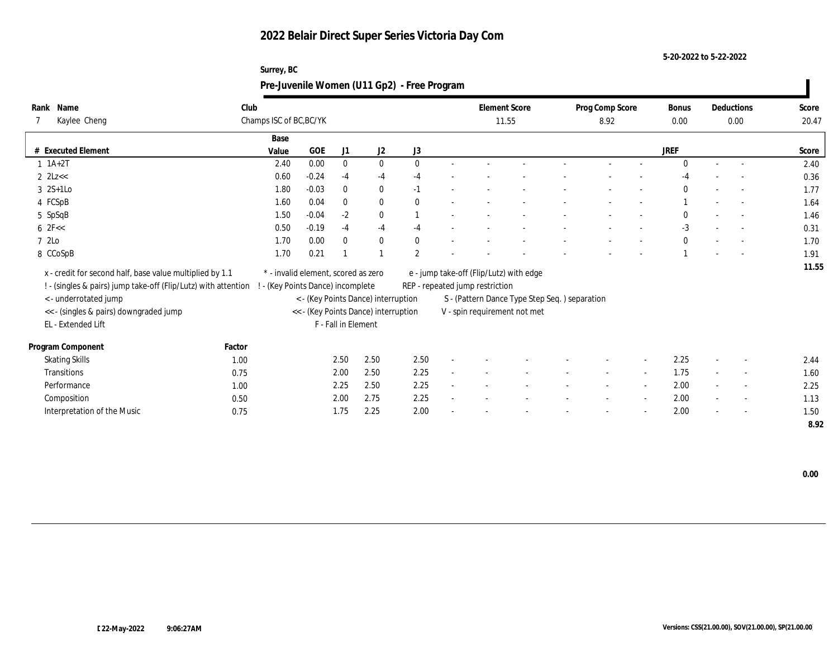**5-20-2022 to 5-22-2022**

|                                                                |        | Surrey, BC                          |            |                     |                                      | Pre-Juvenile Women (U11 Gp2) - Free Program |                                         |                                               |                         |                          |               |                          |                          |                |
|----------------------------------------------------------------|--------|-------------------------------------|------------|---------------------|--------------------------------------|---------------------------------------------|-----------------------------------------|-----------------------------------------------|-------------------------|--------------------------|---------------|--------------------------|--------------------------|----------------|
| Rank Name<br>Kaylee Cheng                                      | Club   | Champs ISC of BC, BC/YK             |            |                     |                                      |                                             | <b>Element Score</b><br>11.55           |                                               | Prog Comp Score<br>8.92 |                          | Bonus<br>0.00 |                          | Deductions<br>0.00       | Score<br>20.47 |
|                                                                |        | Base                                |            |                     |                                      |                                             |                                         |                                               |                         |                          |               |                          |                          |                |
| # Executed Element                                             |        | Value                               | <b>GOE</b> | J1                  | J <sub>2</sub>                       | J3                                          |                                         |                                               |                         |                          | <b>JREF</b>   |                          |                          | Score          |
| $1 \t1A+2T$                                                    |        | 2.40                                | 0.00       | $\mathbf{0}$        | $\mathbf{0}$                         | $\Omega$                                    |                                         |                                               |                         |                          | $\Omega$      |                          |                          | 2.40           |
| $2$ $2$ Lz<<                                                   |        | 0.60                                | $-0.24$    | $-4$                | $-4$                                 | $-4$                                        |                                         |                                               |                         |                          |               |                          |                          | 0.36           |
| $3 \quad 2S+1Lo$                                               |        | 1.80                                | $-0.03$    | $\mathbf{0}$        | $\bf{0}$                             | $-1$                                        |                                         |                                               |                         |                          | $\Omega$      |                          |                          | 1.77           |
| 4 FCSpB                                                        |        | 1.60                                | 0.04       | $\bf{0}$            | $\bf{0}$                             | $\mathbf{0}$                                |                                         |                                               |                         |                          |               |                          | $\overline{\phantom{a}}$ | 1.64           |
| 5 SpSqB                                                        |        | 1.50                                | $-0.04$    | $-2$                | $\bf{0}$                             |                                             |                                         |                                               |                         |                          | $\Omega$      |                          |                          | 1.46           |
| $6 \text{ } 2F <<$                                             |        | $0.50\,$                            | $-0.19$    | $-4$                | $-4$                                 | $-4$                                        |                                         |                                               |                         |                          | $-3$          |                          |                          | 0.31           |
| 7 2Lo                                                          |        | 1.70                                | 0.00       | $\Omega$            | $\mathbf{0}$                         | $\mathbf{0}$                                |                                         |                                               |                         |                          | $\mathbf{0}$  |                          | $\sim$                   | 1.70           |
| 8 CCoSpB                                                       |        | 1.70                                | 0.21       |                     |                                      | $\overline{2}$                              |                                         |                                               |                         |                          |               |                          |                          | 1.91           |
| x - credit for second half, base value multiplied by 1.1       |        | * - invalid element, scored as zero |            |                     |                                      |                                             | e - jump take-off (Flip/Lutz) with edge |                                               |                         |                          |               |                          |                          | 11.55          |
| ! - (singles & pairs) jump take-off (Flip/Lutz) with attention |        | ! - (Key Points Dance) incomplete   |            |                     |                                      |                                             | REP - repeated jump restriction         |                                               |                         |                          |               |                          |                          |                |
| < - underrotated jump                                          |        |                                     |            |                     | < - (Key Points Dance) interruption  |                                             |                                         | S - (Pattern Dance Type Step Seq.) separation |                         |                          |               |                          |                          |                |
| <<- (singles & pairs) downgraded jump                          |        |                                     |            |                     | << - (Key Points Dance) interruption |                                             | V - spin requirement not met            |                                               |                         |                          |               |                          |                          |                |
| EL - Extended Lift                                             |        |                                     |            | F - Fall in Element |                                      |                                             |                                         |                                               |                         |                          |               |                          |                          |                |
|                                                                |        |                                     |            |                     |                                      |                                             |                                         |                                               |                         |                          |               |                          |                          |                |
| Program Component                                              | Factor |                                     |            |                     |                                      |                                             |                                         |                                               |                         |                          |               |                          |                          |                |
| <b>Skating Skills</b>                                          | 1.00   |                                     |            | 2.50                | 2.50                                 | 2.50                                        |                                         |                                               |                         | $\overline{\phantom{a}}$ | 2.25          | $\overline{\phantom{a}}$ |                          | 2.44           |
| Transitions                                                    | 0.75   |                                     |            | 2.00                | 2.50                                 | 2.25                                        |                                         |                                               |                         | $\sim$                   | 1.75          |                          | $\overline{a}$           | 1.60           |
| Performance                                                    | 1.00   |                                     |            | 2.25                | 2.50                                 | 2.25                                        |                                         |                                               |                         | $\overline{\phantom{a}}$ | 2.00          | $\sim$                   | $\sim$                   | 2.25           |
| Composition                                                    | 0.50   |                                     |            | 2.00                | 2.75                                 | 2.25                                        |                                         |                                               |                         | $\overline{\phantom{a}}$ | 2.00          |                          |                          | 1.13           |
| Interpretation of the Music                                    | 0.75   |                                     |            | 1.75                | 2.25                                 | 2.00                                        |                                         |                                               |                         |                          | 2.00          |                          |                          | 1.50           |
|                                                                |        |                                     |            |                     |                                      |                                             |                                         |                                               |                         |                          |               |                          |                          | 8.92           |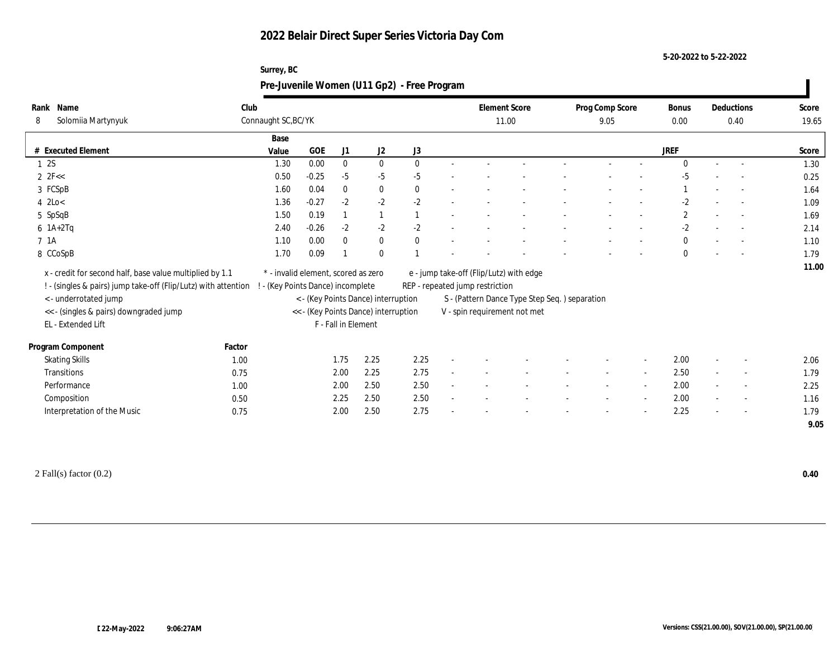**Surrey, BC**

**5-20-2022 to 5-22-2022**

|                                                              |                                                                                                                            |                                                                          |         |                     |                                      | Pre-Juvenile Women (U11 Gp2) - Free Program |                                                                            |                                               |                          |                          |                      |                          |                |
|--------------------------------------------------------------|----------------------------------------------------------------------------------------------------------------------------|--------------------------------------------------------------------------|---------|---------------------|--------------------------------------|---------------------------------------------|----------------------------------------------------------------------------|-----------------------------------------------|--------------------------|--------------------------|----------------------|--------------------------|----------------|
| Rank Name<br>Solomiia Martynyuk<br>8                         |                                                                                                                            | Club<br>Connaught SC, BC/YK                                              |         |                     |                                      |                                             |                                                                            | <b>Element Score</b><br>11.00                 | Prog Comp Score<br>9.05  |                          | <b>Bonus</b><br>0.00 | Deductions<br>0.40       | Score<br>19.65 |
| # Executed Element                                           |                                                                                                                            | Base<br>Value                                                            | GOE     | J1                  | J2                                   | J3                                          |                                                                            |                                               |                          |                          | <b>JREF</b>          |                          | Score          |
| 1 2S                                                         |                                                                                                                            | 1.30                                                                     | 0.00    | $\mathbf{0}$        | $\mathbf{0}$                         | $\mathbf{0}$                                |                                                                            |                                               |                          |                          | $\Omega$             | $\sim$                   | 1.30           |
| $2 \text{ } 2F <<$                                           |                                                                                                                            | 0.50                                                                     | $-0.25$ | $-5$                | -5                                   | $-5$                                        |                                                                            |                                               |                          |                          | $-5$                 |                          | 0.25           |
| 3 FCSpB                                                      |                                                                                                                            | 1.60                                                                     | 0.04    | $\mathbf{0}$        | $\bf{0}$                             | $\theta$                                    |                                                                            |                                               |                          |                          |                      | $\overline{\phantom{a}}$ | 1.64           |
| $4$ 2Lo<                                                     |                                                                                                                            | 1.36                                                                     | $-0.27$ | $-2$                | $-2$                                 | $-2$                                        |                                                                            |                                               |                          |                          | $-2$                 |                          | 1.09           |
| 5 SpSqB                                                      |                                                                                                                            | 1.50                                                                     | 0.19    |                     |                                      |                                             |                                                                            |                                               |                          |                          | $\mathbf{2}$         | $\sim$                   | 1.69           |
| $6$ 1A+2Tq                                                   |                                                                                                                            | 2.40                                                                     | $-0.26$ | $-2$                | $-2$                                 | $-2$                                        |                                                                            |                                               |                          |                          | $-2$                 |                          | 2.14           |
| 7 1A                                                         |                                                                                                                            | 1.10                                                                     | 0.00    | $\mathbf{0}$        | $\bf{0}$                             | $\Omega$                                    |                                                                            |                                               |                          |                          | $\bf{0}$             | $\sim$                   | 1.10           |
| 8 CCoSpB                                                     |                                                                                                                            | 1.70                                                                     | 0.09    |                     | $\theta$                             |                                             |                                                                            |                                               |                          |                          | $\Omega$             | $\overline{\phantom{a}}$ | 1.79           |
|                                                              | x - credit for second half, base value multiplied by 1.1<br>! - (singles & pairs) jump take-off (Flip/Lutz) with attention | * - invalid element, scored as zero<br>! - (Key Points Dance) incomplete |         |                     |                                      |                                             | e - jump take-off (Flip/Lutz) with edge<br>REP - repeated jump restriction |                                               |                          |                          |                      |                          | 11.00          |
| < - underrotated jump                                        |                                                                                                                            |                                                                          |         |                     | < - (Key Points Dance) interruption  |                                             |                                                                            | S - (Pattern Dance Type Step Seq.) separation |                          |                          |                      |                          |                |
| << - (singles & pairs) downgraded jump<br>EL - Extended Lift |                                                                                                                            |                                                                          |         | F - Fall in Element | << - (Key Points Dance) interruption |                                             | V - spin requirement not met                                               |                                               |                          |                          |                      |                          |                |
| Program Component                                            | Factor                                                                                                                     |                                                                          |         |                     |                                      |                                             |                                                                            |                                               |                          |                          |                      |                          |                |
| <b>Skating Skills</b>                                        | 1.00                                                                                                                       |                                                                          |         | 1.75                | 2.25                                 | 2.25                                        |                                                                            |                                               |                          | $\overline{\phantom{a}}$ | 2.00                 |                          | 2.06           |
| Transitions                                                  | 0.75                                                                                                                       |                                                                          |         | 2.00                | 2.25                                 | 2.75                                        |                                                                            |                                               | $\overline{\phantom{a}}$ | $\sim$                   | 2.50                 | $\sim$                   | 1.79           |
| Performance                                                  | 1.00                                                                                                                       |                                                                          |         | 2.00                | 2.50                                 | 2.50                                        |                                                                            |                                               |                          | $\sim$                   | 2.00                 |                          | 2.25           |
| Composition                                                  | 0.50                                                                                                                       |                                                                          |         | 2.25                | 2.50                                 | 2.50                                        |                                                                            |                                               |                          | $\overline{\phantom{a}}$ | 2.00                 | $\overline{\phantom{a}}$ | 1.16           |
| Interpretation of the Music                                  | 0.75                                                                                                                       |                                                                          |         | 2.00                | 2.50                                 | 2.75                                        |                                                                            |                                               |                          |                          | 2.25                 |                          | 1.79<br>9.05   |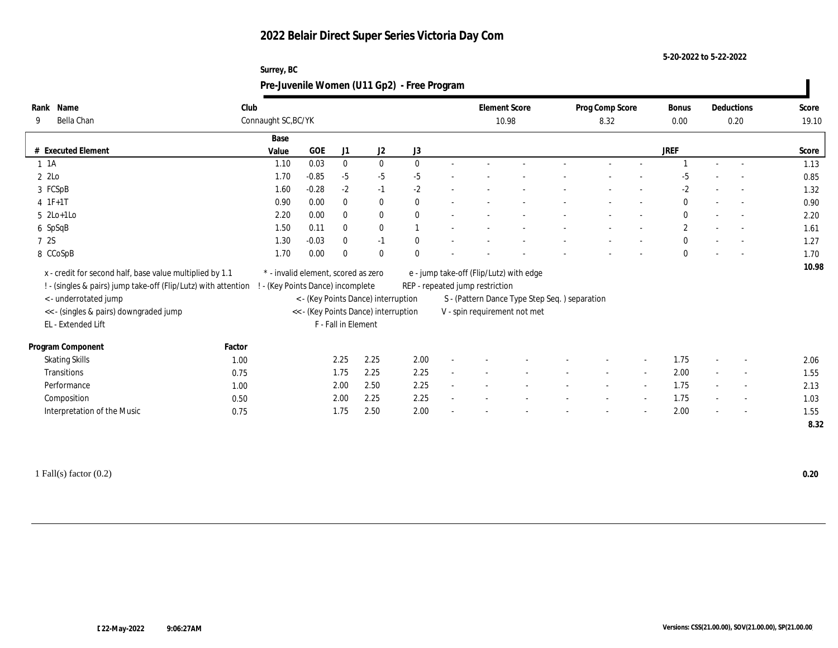**Surrey, BC**

**5-20-2022 to 5-22-2022**

| Rank Name                                                      | Club         |                                     |            |                     |                                      |              | <b>Element Score</b>                    |                                               | Prog Comp Score |                          | <b>Bonus</b> | Deductions               | Score |
|----------------------------------------------------------------|--------------|-------------------------------------|------------|---------------------|--------------------------------------|--------------|-----------------------------------------|-----------------------------------------------|-----------------|--------------------------|--------------|--------------------------|-------|
| Bella Chan<br>9                                                |              | Connaught SC, BC/YK                 |            |                     |                                      |              | 10.98                                   |                                               | 8.32            |                          | 0.00         | 0.20                     | 19.10 |
|                                                                |              | Base                                |            |                     |                                      |              |                                         |                                               |                 |                          |              |                          |       |
| # Executed Element                                             |              | Value                               | <b>GOE</b> | J1                  | J <sub>2</sub>                       | J3           |                                         |                                               |                 |                          | <b>JREF</b>  |                          | Score |
| $1 \t1A$                                                       |              | 1.10                                | 0.03       | $\mathbf{0}$        | $\mathbf{0}$                         | $\mathbf{0}$ |                                         |                                               |                 |                          |              |                          | 1.13  |
| 2 2Lo                                                          |              | 1.70                                | $-0.85$    | $-5$                | $-5$                                 | -5           |                                         |                                               |                 |                          | -5           |                          | 0.85  |
| 3 FCSpB                                                        |              | 1.60                                | $-0.28$    | $-2$                | $-1$                                 | $-2$         |                                         |                                               |                 |                          | $-2$         |                          | 1.32  |
| $4 \t1F+1T$                                                    |              | 0.90                                | 0.00       | $\mathbf{0}$        | $\mathbf{0}$                         |              |                                         |                                               |                 |                          | $\mathbf{0}$ | $\overline{\phantom{a}}$ | 0.90  |
| $5$ 2Lo+1Lo                                                    |              | 2.20                                | 0.00       | $\bf{0}$            | $\bf{0}$                             |              |                                         |                                               |                 |                          | $\mathbf{0}$ | $\overline{\phantom{a}}$ | 2.20  |
| 6 SpSqB                                                        |              | 1.50                                | 0.11       | $\mathbf{0}$        | $\mathbf{0}$                         |              |                                         |                                               |                 |                          | $\mathbf{2}$ | $\sim$                   | 1.61  |
| 7 2S                                                           |              | 1.30                                | $-0.03$    | $\mathbf{0}$        | $-1$                                 |              |                                         |                                               |                 |                          | $\bf{0}$     | $\overline{\phantom{a}}$ | 1.27  |
| 8 CCoSpB                                                       |              | 1.70                                | 0.00       | $\theta$            | $\theta$                             |              |                                         |                                               |                 |                          | $\Omega$     |                          | 1.70  |
|                                                                |              |                                     |            |                     |                                      |              |                                         |                                               |                 |                          |              |                          |       |
|                                                                |              |                                     |            |                     |                                      |              |                                         |                                               |                 |                          |              |                          | 10.98 |
| x - credit for second half, base value multiplied by 1.1       |              | * - invalid element, scored as zero |            |                     |                                      |              | e - jump take-off (Flip/Lutz) with edge |                                               |                 |                          |              |                          |       |
| ! - (singles & pairs) jump take-off (Flip/Lutz) with attention |              | - (Key Points Dance) incomplete     |            |                     |                                      |              | REP - repeated jump restriction         |                                               |                 |                          |              |                          |       |
| <- underrotated jump                                           |              |                                     |            |                     | < - (Key Points Dance) interruption  |              |                                         | S - (Pattern Dance Type Step Seq.) separation |                 |                          |              |                          |       |
| << - (singles & pairs) downgraded jump                         |              |                                     |            |                     | << - (Key Points Dance) interruption |              | V - spin requirement not met            |                                               |                 |                          |              |                          |       |
| EL - Extended Lift                                             |              |                                     |            | F - Fall in Element |                                      |              |                                         |                                               |                 |                          |              |                          |       |
|                                                                | Factor       |                                     |            |                     |                                      |              |                                         |                                               |                 |                          |              |                          |       |
| Program Component                                              | 1.00         |                                     |            | 2.25                | 2.25                                 | 2.00         |                                         |                                               |                 | $\overline{\phantom{a}}$ | 1.75         |                          | 2.06  |
| <b>Skating Skills</b><br>Transitions                           | 0.75         |                                     |            | 1.75                | 2.25                                 | 2.25         |                                         |                                               |                 | $\sim$                   | 2.00         | $\overline{\phantom{a}}$ | 1.55  |
| Performance                                                    | 1.00         |                                     |            |                     | 2.50                                 | 2.25         |                                         |                                               |                 | $\sim$                   | 1.75         | $\overline{\phantom{a}}$ | 2.13  |
|                                                                |              |                                     |            | 2.00                | 2.25                                 | 2.25         |                                         |                                               |                 | $\overline{\phantom{a}}$ | 1.75         | $\overline{\phantom{a}}$ | 1.03  |
| Composition<br>Interpretation of the Music                     | 0.50<br>0.75 |                                     |            | 2.00<br>1.75        | 2.50                                 | 2.00         |                                         |                                               |                 |                          | 2.00         |                          | 1.55  |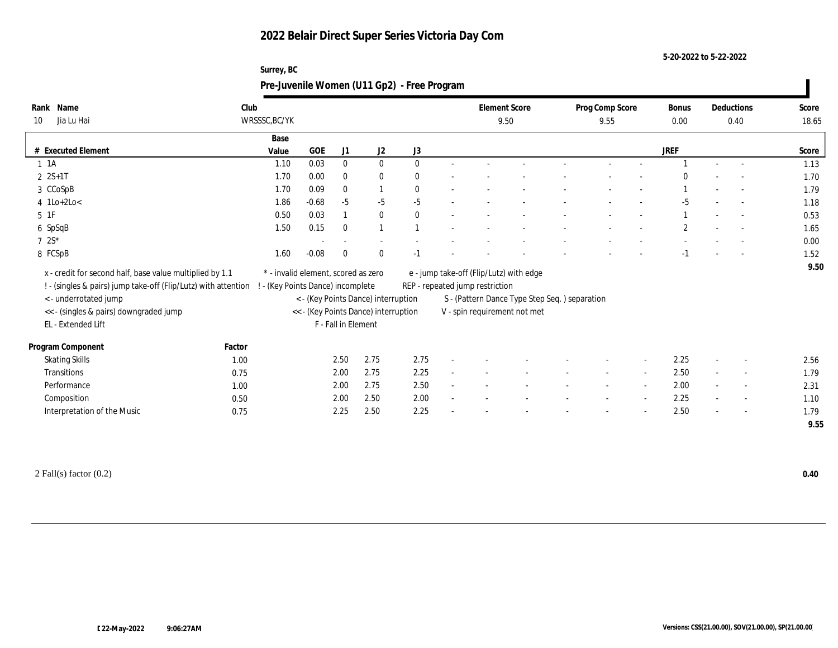**Surrey, BC**

**5-20-2022 to 5-22-2022**

| Rank Name<br>Jia Lu Hai<br>10                                  | Club   | WRSSSC, BC/YK                       |            |                     |                                      |              | <b>Element Score</b><br>9.50            |                                               | Prog Comp Score<br>9.55 |                          | <b>Bonus</b><br>0.00 | Deductions<br>0.40       | Score<br>18.65 |
|----------------------------------------------------------------|--------|-------------------------------------|------------|---------------------|--------------------------------------|--------------|-----------------------------------------|-----------------------------------------------|-------------------------|--------------------------|----------------------|--------------------------|----------------|
|                                                                |        | Base                                |            |                     |                                      |              |                                         |                                               |                         |                          |                      |                          |                |
| # Executed Element                                             |        | Value                               | <b>GOE</b> | J1                  | J <sub>2</sub>                       | J3           |                                         |                                               |                         |                          | <b>JREF</b>          |                          | Score          |
| $1 \t1A$                                                       |        | 1.10                                | 0.03       | $\mathbf{0}$        | $\mathbf{0}$                         | $\mathbf{0}$ |                                         |                                               |                         |                          |                      | $\sim$                   | 1.13           |
| $2 S+1 T$                                                      |        | 1.70                                | 0.00       | $\theta$            | $\bf{0}$                             |              |                                         |                                               |                         |                          |                      |                          | 1.70           |
| 3 CCoSpB                                                       |        | 1.70                                | 0.09       | $\mathbf{0}$        |                                      | $\mathbf{0}$ |                                         |                                               |                         |                          |                      |                          | 1.79           |
| $4$ 1Lo+2Lo<                                                   |        | 1.86                                | $-0.68$    | $-5$                | $-5$                                 | $-5$         |                                         |                                               |                         |                          | $-5$                 | $\sim$                   | 1.18           |
| 5 1F                                                           |        | 0.50                                | 0.03       |                     | $\mathbf{0}$                         | $\mathbf{0}$ |                                         |                                               |                         |                          |                      |                          | 0.53           |
| 6 SpSqB                                                        |        | 1.50                                | 0.15       | $\Omega$            |                                      |              |                                         |                                               |                         |                          | $\mathbf{2}$         |                          | 1.65           |
| $7.2S*$                                                        |        |                                     |            |                     |                                      |              |                                         |                                               |                         |                          |                      |                          | 0.00           |
| 8 FCSpB                                                        |        | 1.60                                | $-0.08$    | $\Omega$            | $\mathbf{0}$                         |              |                                         |                                               |                         |                          |                      |                          | 1.52           |
|                                                                |        |                                     |            |                     |                                      |              |                                         |                                               |                         |                          |                      |                          |                |
|                                                                |        |                                     |            |                     |                                      |              |                                         |                                               |                         |                          |                      |                          | 9.50           |
| x - credit for second half, base value multiplied by 1.1       |        | * - invalid element, scored as zero |            |                     |                                      |              | e - jump take-off (Flip/Lutz) with edge |                                               |                         |                          |                      |                          |                |
| ! - (singles & pairs) jump take-off (Flip/Lutz) with attention |        | - (Key Points Dance) incomplete     |            |                     |                                      |              | REP - repeated jump restriction         |                                               |                         |                          |                      |                          |                |
| <- underrotated jump                                           |        |                                     |            |                     | < - (Key Points Dance) interruption  |              |                                         | S - (Pattern Dance Type Step Seq.) separation |                         |                          |                      |                          |                |
| << - (singles & pairs) downgraded jump                         |        |                                     |            |                     | << - (Key Points Dance) interruption |              | V - spin requirement not met            |                                               |                         |                          |                      |                          |                |
| EL - Extended Lift                                             |        |                                     |            | F - Fall in Element |                                      |              |                                         |                                               |                         |                          |                      |                          |                |
| Program Component                                              | Factor |                                     |            |                     |                                      |              |                                         |                                               |                         |                          |                      |                          |                |
| <b>Skating Skills</b>                                          | 1.00   |                                     |            | 2.50                | 2.75                                 | 2.75         |                                         |                                               |                         | $\overline{\phantom{a}}$ | 2.25                 |                          | 2.56           |
| Transitions                                                    | 0.75   |                                     |            | 2.00                | 2.75                                 | 2.25         |                                         |                                               |                         | $\sim$                   | 2.50                 |                          | 1.79           |
| Performance                                                    | 1.00   |                                     |            | 2.00                | 2.75                                 | 2.50         |                                         |                                               |                         | $\sim$                   | 2.00                 | $\overline{\phantom{a}}$ | 2.31           |
| Composition                                                    | 0.50   |                                     |            | 2.00                | 2.50                                 | 2.00         |                                         |                                               |                         | $\overline{\phantom{a}}$ | 2.25                 | $\overline{\phantom{a}}$ | 1.10           |
| Interpretation of the Music                                    | 0.75   |                                     |            | 2.25                | 2.50                                 | 2.25         |                                         |                                               |                         |                          | 2.50                 |                          | 1.79           |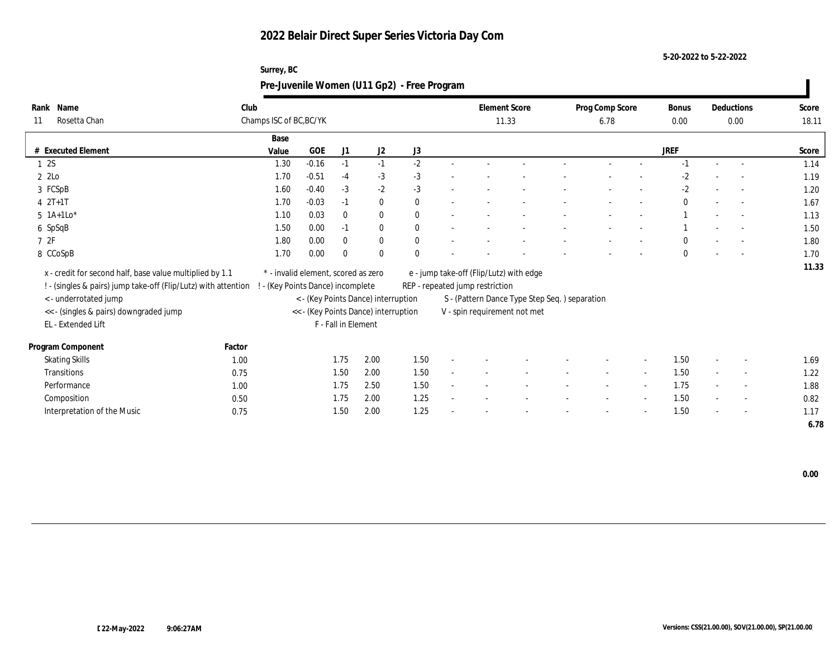**Surrey, BC**

**5-20-2022 to 5-22-2022**

| Rank Name                                                      | Club   |                                     |         |                     |                                      |              | <b>Element Score</b>            |                                               | Prog Comp Score |                          | <b>Bonus</b> |        | Deductions | Score |
|----------------------------------------------------------------|--------|-------------------------------------|---------|---------------------|--------------------------------------|--------------|---------------------------------|-----------------------------------------------|-----------------|--------------------------|--------------|--------|------------|-------|
| Rosetta Chan<br>11                                             |        | Champs ISC of BC, BC/YK             |         |                     |                                      |              | 11.33                           |                                               | 6.78            |                          | 0.00         |        | 0.00       | 18.11 |
|                                                                |        | Base                                |         |                     |                                      |              |                                 |                                               |                 |                          |              |        |            |       |
| # Executed Element                                             |        | Value                               | GOE     | J1                  | J2                                   | J3           |                                 |                                               |                 |                          | <b>JREF</b>  |        |            | Score |
| 12S                                                            |        | 1.30                                | $-0.16$ | $-1$                | $-1$                                 | $-2$         |                                 |                                               |                 |                          | $-1$         | $\sim$ |            | 1.14  |
| 22                                                             |        | 1.70                                | $-0.51$ | $-4$                | $-3$                                 | $-3$         |                                 |                                               |                 |                          | $-2$         |        |            | 1.19  |
| 3 FCSpB                                                        |        | 1.60                                | $-0.40$ | $-3$                | $-2$                                 | $-3$         |                                 |                                               |                 |                          | $-2$         |        |            | 1.20  |
| $42T+1T$                                                       |        | 1.70                                | $-0.03$ | $-1$                | $\bf{0}$                             | $\mathbf{0}$ |                                 |                                               |                 |                          | $\theta$     |        | $\sim$     | 1.67  |
| $5 \; 1A+1Lo^*$                                                |        | 1.10                                | 0.03    | $\Omega$            | $\bf{0}$                             | $\mathbf{0}$ |                                 |                                               |                 |                          |              |        |            | 1.13  |
| 6 SpSqB                                                        |        | 1.50                                | 0.00    | $-1$                | $\mathbf{0}$                         | $\mathbf{0}$ |                                 |                                               |                 |                          |              |        | $\sim$     | 1.50  |
| 72F                                                            |        | 1.80                                | 0.00    | $\theta$            | $\bf{0}$                             | 0            |                                 |                                               |                 |                          | $\Omega$     |        |            | 1.80  |
| 8 CCoSpB                                                       |        | 1.70                                | 0.00    | $\Omega$            | $\mathbf{0}$                         |              |                                 |                                               |                 |                          | $\theta$     |        |            | 1.70  |
| x - credit for second half, base value multiplied by 1.1       |        | * - invalid element, scored as zero |         |                     |                                      |              |                                 | e - jump take-off (Flip/Lutz) with edge       |                 |                          |              |        |            | 11.33 |
| ! - (singles & pairs) jump take-off (Flip/Lutz) with attention |        |                                     |         |                     |                                      |              | REP - repeated jump restriction |                                               |                 |                          |              |        |            |       |
| <- underrotated jump                                           |        | - (Key Points Dance) incomplete     |         |                     | < - (Key Points Dance) interruption  |              |                                 | S - (Pattern Dance Type Step Seq.) separation |                 |                          |              |        |            |       |
| << - (singles & pairs) downgraded jump                         |        |                                     |         |                     | << - (Key Points Dance) interruption |              |                                 | V - spin requirement not met                  |                 |                          |              |        |            |       |
| EL - Extended Lift                                             |        |                                     |         | F - Fall in Element |                                      |              |                                 |                                               |                 |                          |              |        |            |       |
|                                                                |        |                                     |         |                     |                                      |              |                                 |                                               |                 |                          |              |        |            |       |
| Program Component                                              | Factor |                                     |         |                     |                                      |              |                                 |                                               |                 |                          |              |        |            |       |
| <b>Skating Skills</b>                                          | 1.00   |                                     |         | 1.75                | 2.00                                 | 1.50         |                                 |                                               |                 | $\overline{\phantom{a}}$ | 1.50         |        |            | 1.69  |
| Transitions                                                    | 0.75   |                                     |         | 1.50                | 2.00                                 | 1.50         |                                 |                                               |                 | $\sim$                   | 1.50         |        |            | 1.22  |
| Performance                                                    | 1.00   |                                     |         | 1.75                | 2.50                                 | 1.50         |                                 |                                               |                 | $\sim$                   | 1.75         |        | $\sim$     | 1.88  |
| Composition                                                    | 0.50   |                                     |         | 1.75                | 2.00                                 | 1.25         |                                 |                                               |                 | $\sim$                   | 1.50         |        | $\sim$     | 0.82  |
| Interpretation of the Music                                    | 0.75   |                                     |         | 1.50                | 2.00                                 | 1.25         |                                 |                                               |                 |                          | 1.50         |        |            | 1.17  |
|                                                                |        |                                     |         |                     |                                      |              |                                 |                                               |                 |                          |              |        |            | 6.78  |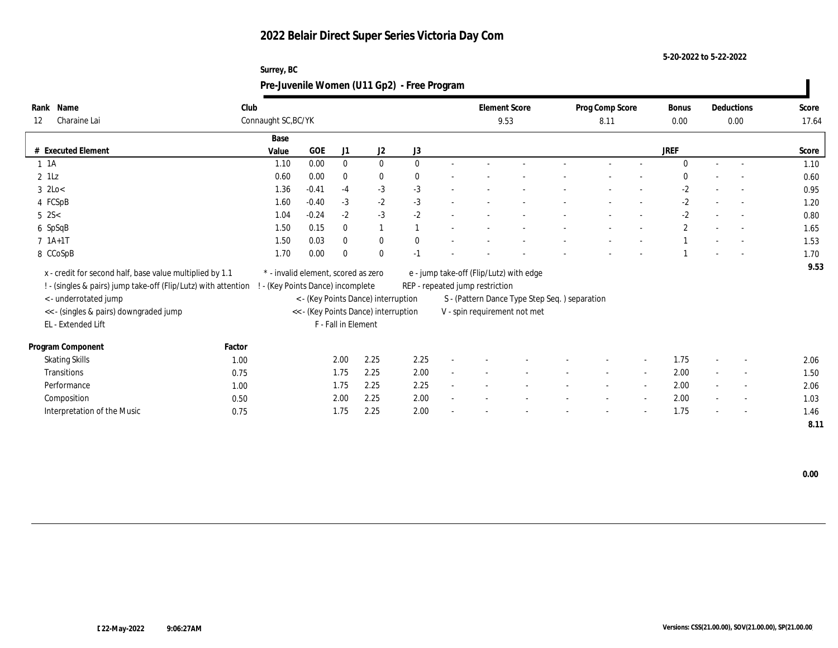**Surrey, BC**

**5-20-2022 to 5-22-2022**

| Rank Name                                                      | Club   |                                     |         |                     |                                      |          | <b>Element Score</b>                    |                                               | Prog Comp Score |                          | <b>Bonus</b> |        | Deductions | Score |
|----------------------------------------------------------------|--------|-------------------------------------|---------|---------------------|--------------------------------------|----------|-----------------------------------------|-----------------------------------------------|-----------------|--------------------------|--------------|--------|------------|-------|
| Charaine Lai<br>12                                             |        | Connaught SC, BC/YK                 |         |                     |                                      |          | 9.53                                    |                                               | 8.11            |                          | 0.00         |        | 0.00       | 17.64 |
|                                                                |        | Base                                |         |                     |                                      |          |                                         |                                               |                 |                          |              |        |            |       |
| # Executed Element                                             |        | Value                               | GOE     | J1                  | J2                                   | J3       |                                         |                                               |                 |                          | <b>JREF</b>  |        |            | Score |
| $1 \t1A$                                                       |        | 1.10                                | 0.00    | $\mathbf{0}$        | $\mathbf{0}$                         | $\Omega$ |                                         |                                               |                 |                          | $\Omega$     | $\sim$ |            | 1.10  |
| $2$ 1Lz                                                        |        | 0.60                                | 0.00    | $\Omega$            | $\bf{0}$                             | 0        |                                         |                                               |                 |                          |              |        |            | 0.60  |
| $3$ 2Lo $<$                                                    |        | 1.36                                | $-0.41$ | $-4$                | $-3$                                 | $-3$     |                                         |                                               |                 |                          | $-2$         |        |            | 0.95  |
| 4 FCSpB                                                        |        | 1.60                                | $-0.40$ | $-3$                | $-2$                                 | $-3$     |                                         |                                               |                 |                          | $-2$         |        | $\sim$     | 1.20  |
| $5 \, 2S <$                                                    |        | 1.04                                | $-0.24$ | $-2$                | $-3$                                 | $-2$     |                                         |                                               |                 |                          | $-2$         |        |            | 0.80  |
| 6 SpSqB                                                        |        | 1.50                                | 0.15    | $\theta$            |                                      |          |                                         |                                               |                 |                          | $\mathbf{2}$ |        | $\sim$     | 1.65  |
| $7 1A+1T$                                                      |        | 1.50                                | 0.03    | $\theta$            | $\bf{0}$                             | 0        |                                         |                                               |                 |                          |              |        |            | 1.53  |
| 8 CCoSpB                                                       |        | 1.70                                | 0.00    | $\Omega$            | $\mathbf{0}$                         |          |                                         |                                               |                 |                          |              |        |            | 1.70  |
|                                                                |        | * - invalid element, scored as zero |         |                     |                                      |          |                                         |                                               |                 |                          |              |        |            | 9.53  |
| x - credit for second half, base value multiplied by 1.1       |        |                                     |         |                     |                                      |          | e - jump take-off (Flip/Lutz) with edge |                                               |                 |                          |              |        |            |       |
| ! - (singles & pairs) jump take-off (Flip/Lutz) with attention |        | - (Key Points Dance) incomplete     |         |                     |                                      |          | REP - repeated jump restriction         |                                               |                 |                          |              |        |            |       |
| <- underrotated jump                                           |        |                                     |         |                     | < - (Key Points Dance) interruption  |          |                                         | S - (Pattern Dance Type Step Seq.) separation |                 |                          |              |        |            |       |
| << - (singles & pairs) downgraded jump<br>EL - Extended Lift   |        |                                     |         | F - Fall in Element | << - (Key Points Dance) interruption |          | V - spin requirement not met            |                                               |                 |                          |              |        |            |       |
|                                                                |        |                                     |         |                     |                                      |          |                                         |                                               |                 |                          |              |        |            |       |
| Program Component                                              | Factor |                                     |         |                     |                                      |          |                                         |                                               |                 |                          |              |        |            |       |
| <b>Skating Skills</b>                                          | 1.00   |                                     |         | 2.00                | 2.25                                 | 2.25     |                                         |                                               |                 | $\overline{\phantom{a}}$ | 1.75         |        |            | 2.06  |
| Transitions                                                    | 0.75   |                                     |         | 1.75                | 2.25                                 | 2.00     |                                         |                                               |                 | $\sim$                   | 2.00         |        |            | 1.50  |
| Performance                                                    | 1.00   |                                     |         | 1.75                | 2.25                                 | 2.25     |                                         |                                               |                 | $\sim$                   | 2.00         |        |            | 2.06  |
| Composition                                                    | 0.50   |                                     |         | 2.00                | 2.25                                 | 2.00     |                                         |                                               |                 | $\sim$                   | 2.00         |        | $\sim$     | 1.03  |
| Interpretation of the Music                                    | 0.75   |                                     |         | 1.75                | 2.25                                 | 2.00     |                                         |                                               |                 |                          | 1.75         |        |            | 1.46  |
|                                                                |        |                                     |         |                     |                                      |          |                                         |                                               |                 |                          |              |        |            | 8.11  |